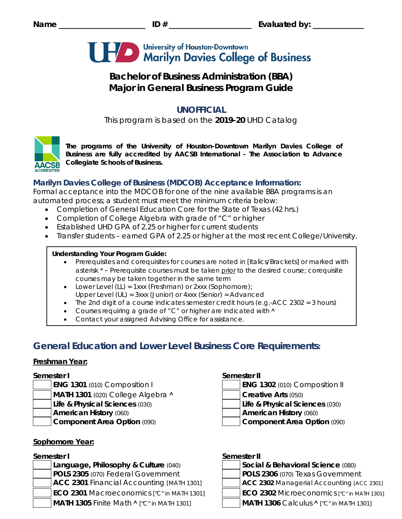

# **Bachelor of Business Administration (BBA) Major in General Business Program Guide**

# **UNOFFICIAL**

This program is based on the **2019-20** UHD Catalog



*The programs of the University of Houston-Downtown Marilyn Davies College of Business are fully accredited by AACSB International - The Association to Advance Collegiate Schools of Business.*

# **Marilyn Davies College of Business (MDCOB) Acceptance Information:**

Formal acceptance into the MDCOB for one of the nine available BBA programs is an automated process; a student must meet the minimum criteria below:

- Completion of General Education Core for the State of Texas (42 hrs.)
- Completion of College Algebra with grade of "C" or higher
- Established UHD GPA of 2.25 or higher for current students
- Transfer students earned GPA of 2.25 or higher at the most recent College/University.

## **Understanding Your Program Guide:**

- Prerequisites and corequisites for courses are noted in *[Italics/Brackets]* or marked with asterisk \* – Prerequisite courses must be taken prior to the desired course; corequisite courses may be taken together in the same term
- Lower Level (LL) = 1xxx (Freshman) or 2xxx (Sophomore);
- Upper Level (UL) = 3xxx (Junior) or 4xxx (Senior) = Advanced
- The 2nd digit of a course indicates semester credit hours (e.g.-ACC 2302 = 3 hours)
- Courses requiring a grade of "C" or higher are indicated with  $\wedge$
- Contact your assigned Advising Office for assistance.

# **General Education and Lower Level Business Core Requirements:**

## **Freshman Year:**

- **ENG 1301** (010) Composition I
- **MATH 1301** (020) College Algebra **˄ Creative Arts** (050)
- **Life & Physical Sciences** (030) **Life & Physical Sciences** (030)
- 
- 

# **Sophomore Year:**

**Language, Philosophy & Culture (040) POLS 2305** (070) Federal Government **POLS 2306** (070) Texas Government **ACC 2301** Financial Accounting *[MATH 1301]* **ACC 2302** Managerial Accounting *[ACC 2301]* **ECO 2301** Macroeconomics *["C" in MATH 1301]* **ECO 2302** Microeconomics *["C" in MATH 1301]* **MATH 1305** Finite Math **˄** *["C" in MATH 1301]* **MATH 1306** Calculus **˄** *["C" in MATH 1301]*

## **Semester I Semester II**

**American History** (060) **American History** (060)

**Component Area Option** (090) **Component Area Option** (090)

# **Semester I Semester II**

| Social & Behavioral Science (080) |
|-----------------------------------|
| $R = 220$                         |

- 
- 
-